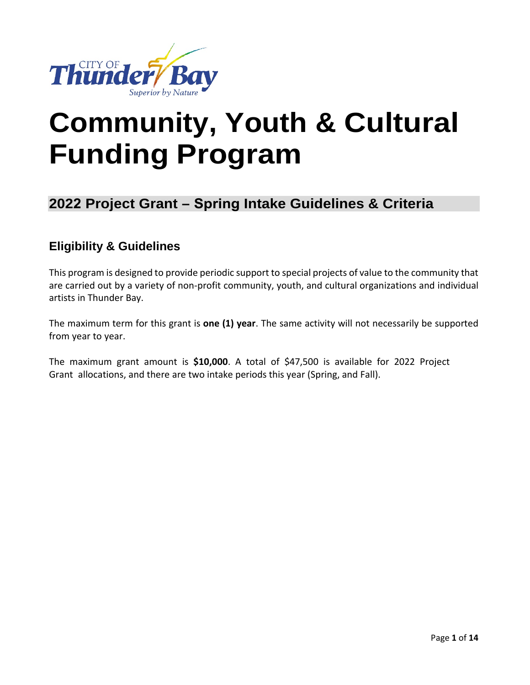

# **Community, Youth & Cultural Funding Program**

## **2022 Project Grant – Spring Intake Guidelines & Criteria**

### **Eligibility & Guidelines**

This program is designed to provide periodic support to special projects of value to the community that are carried out by a variety of non-profit community, youth, and cultural organizations and individual artists in Thunder Bay.

The maximum term for this grant is **one (1) year**. The same activity will not necessarily be supported from year to year.

The maximum grant amount is **\$10,000**. A total of \$47,500 is available for 2022 Project Grant allocations, and there are two intake periods this year (Spring, and Fall).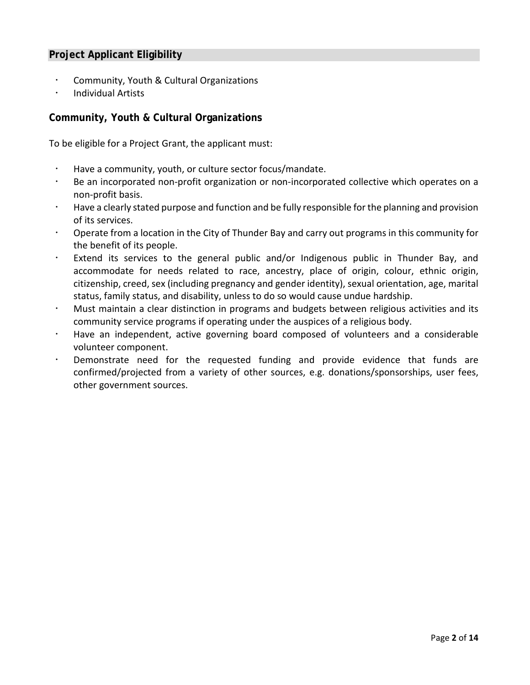#### **Project Applicant Eligibility**

- Community, Youth & Cultural Organizations
- Individual Artists

#### **Community, Youth & Cultural Organizations**

To be eligible for a Project Grant, the applicant must:

- Have a community, youth, or culture sector focus/mandate.
- Be an incorporated non-profit organization or non-incorporated collective which operates on a non-profit basis.
- Have a clearly stated purpose and function and be fully responsible for the planning and provision of its services.
- Operate from a location in the City of Thunder Bay and carry out programs in this community for the benefit of its people.
- Extend its services to the general public and/or Indigenous public in Thunder Bay, and accommodate for needs related to race, ancestry, place of origin, colour, ethnic origin, citizenship, creed, sex (including pregnancy and gender identity), sexual orientation, age, marital status, family status, and disability, unless to do so would cause undue hardship.
- Must maintain a clear distinction in programs and budgets between religious activities and its community service programs if operating under the auspices of a religious body.
- Have an independent, active governing board composed of volunteers and a considerable volunteer component.
- Demonstrate need for the requested funding and provide evidence that funds are confirmed/projected from a variety of other sources, e.g. donations/sponsorships, user fees, other government sources.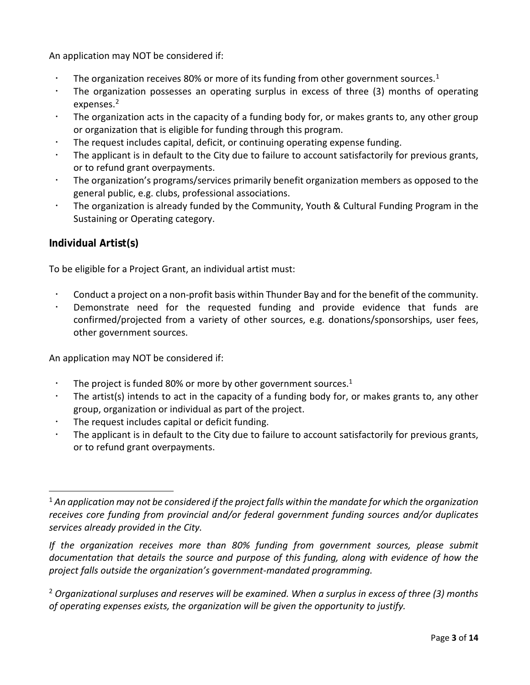An application may NOT be considered if:

- The organization receives 80% or more of its funding from other government sources.<sup>[1](#page-2-0)</sup>
- The organization possesses an operating surplus in excess of three (3) months of operating expenses.<sup>[2](#page-2-1)</sup>
- The organization acts in the capacity of a funding body for, or makes grants to, any other group or organization that is eligible for funding through this program.
- The request includes capital, deficit, or continuing operating expense funding.
- The applicant is in default to the City due to failure to account satisfactorily for previous grants, or to refund grant overpayments.
- The organization's programs/services primarily benefit organization members as opposed to the general public, e.g. clubs, professional associations.
- The organization is already funded by the Community, Youth & Cultural Funding Program in the Sustaining or Operating category.

#### **Individual Artist(s)**

To be eligible for a Project Grant, an individual artist must:

- Conduct a project on a non-profit basis within Thunder Bay and for the benefit of the community.
- Demonstrate need for the requested funding and provide evidence that funds are confirmed/projected from a variety of other sources, e.g. donations/sponsorships, user fees, other government sources.

An application may NOT be considered if:

- The project is funded 80% or more by other government sources.<sup>1</sup>
- The artist(s) intends to act in the capacity of a funding body for, or makes grants to, any other group, organization or individual as part of the project.
- The request includes capital or deficit funding.
- The applicant is in default to the City due to failure to account satisfactorily for previous grants, or to refund grant overpayments.

*If the organization receives more than 80% funding from government sources, please submit documentation that details the source and purpose of this funding, along with evidence of how the project falls outside the organization's government-mandated programming.*

<span id="page-2-1"></span><sup>2</sup> *Organizational surpluses and reserves will be examined. When a surplus in excess of three (3) months of operating expenses exists, the organization will be given the opportunity to justify.*

<span id="page-2-0"></span><sup>1</sup> *An application may not be considered if the project falls within the mandate for which the organization receives core funding from provincial and/or federal government funding sources and/or duplicates services already provided in the City.*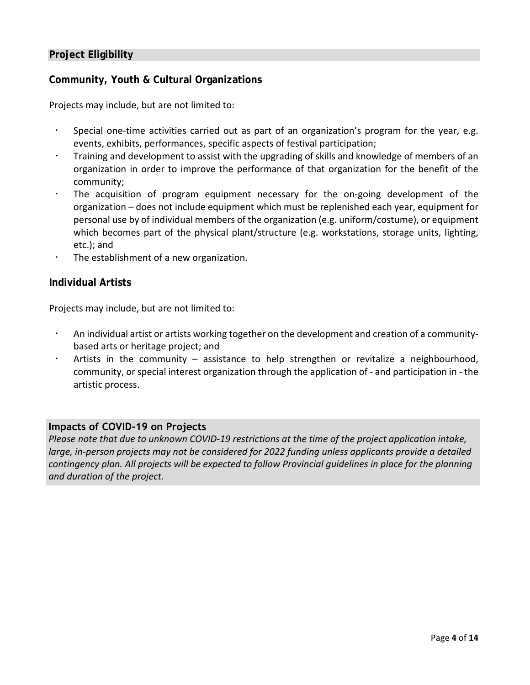#### **Project Eligibility**

#### **Community, Youth & Cultural Organizations**

Projects may include, but are not limited to:

- Special one-time activities carried out as part of an organization's program for the year, e.g. events, exhibits, performances, specific aspects of festival participation;
- Training and development to assist with the upgrading of skills and knowledge of members of an organization in order to improve the performance of that organization for the benefit of the community;
- The acquisition of program equipment necessary for the on-going development of the organization – does not include equipment which must be replenished each year, equipment for personal use by of individual members of the organization (e.g. uniform/costume), or equipment which becomes part of the physical plant/structure (e.g. workstations, storage units, lighting, etc.); and
- The establishment of a new organization.

#### **Individual Artists**

Projects may include, but are not limited to:

- An individual artist or artists working together on the development and creation of a communitybased arts or heritage project; and
- Artists in the community assistance to help strengthen or revitalize a neighbourhood, community, or special interest organization through the application of - and participation in - the artistic process.

#### **Impacts of COVID-19 on Projects**

*Please note that due to unknown COVID-19 restrictions at the time of the project application intake, large, in-person projects may not be considered for 2022 funding unless applicants provide a detailed contingency plan. All projects will be expected to follow Provincial guidelines in place for the planning and duration of the project.*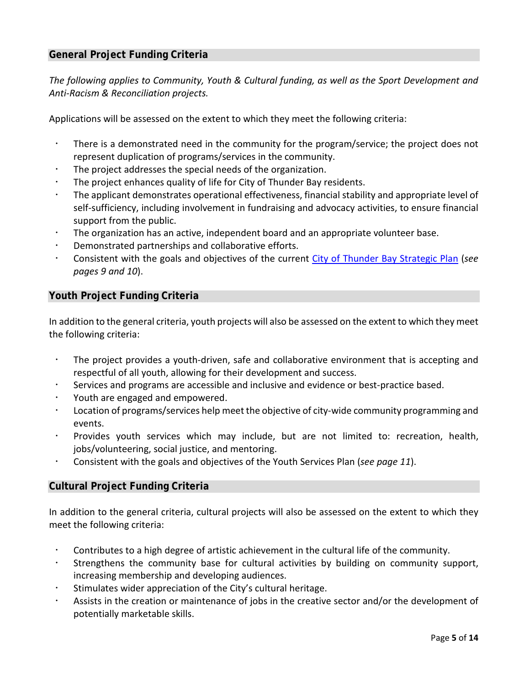#### **General Project Funding Criteria**

*The following applies to Community, Youth & Cultural funding, as well as the Sport Development and Anti-Racism & Reconciliation projects.*

Applications will be assessed on the extent to which they meet the following criteria:

- There is a demonstrated need in the community for the program/service; the project does not represent duplication of programs/services in the community.
- The project addresses the special needs of the organization.
- The project enhances quality of life for City of Thunder Bay residents.
- The applicant demonstrates operational effectiveness, financial stability and appropriate level of self-sufficiency, including involvement in fundraising and advocacy activities, to ensure financial support from the public.
- The organization has an active, independent board and an appropriate volunteer base.
- Demonstrated partnerships and collaborative efforts.
- Consistent with the goals and objectives of the current [City of Thunder Bay Strategic Plan](https://www.thunderbay.ca/en/city-hall/strategic-plan.aspx) (*see pages 9 and 10*).

#### **Youth Project Funding Criteria**

In addition to the general criteria, youth projects will also be assessed on the extent to which they meet the following criteria:

- The project provides a youth-driven, safe and collaborative environment that is accepting and respectful of all youth, allowing for their development and success.
- Services and programs are accessible and inclusive and evidence or best-practice based.
- Youth are engaged and empowered.
- Location of programs/services help meet the objective of city-wide community programming and events.
- Provides youth services which may include, but are not limited to: recreation, health, jobs/volunteering, social justice, and mentoring.
- Consistent with the goals and objectives of the Youth Services Plan (*see page 11*).

#### **Cultural Project Funding Criteria**

In addition to the general criteria, cultural projects will also be assessed on the extent to which they meet the following criteria:

- Contributes to a high degree of artistic achievement in the cultural life of the community.
- Strengthens the community base for cultural activities by building on community support, increasing membership and developing audiences.
- Stimulates wider appreciation of the City's cultural heritage.
- Assists in the creation or maintenance of jobs in the creative sector and/or the development of potentially marketable skills.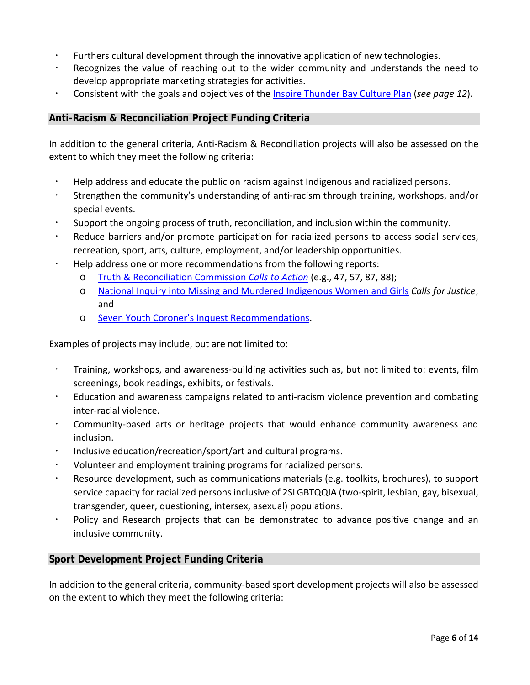- Furthers cultural development through the innovative application of new technologies.
- Recognizes the value of reaching out to the wider community and understands the need to develop appropriate marketing strategies for activities.
- Consistent with the goals and objectives of the [Inspire Thunder Bay Culture Plan](https://www.thunderbay.ca/en/city-hall/culture-plan.aspx) (*see page 12*).

#### **Anti-Racism & Reconciliation Project Funding Criteria**

In addition to the general criteria, Anti-Racism & Reconciliation projects will also be assessed on the extent to which they meet the following criteria:

- Help address and educate the public on racism against Indigenous and racialized persons.
- Strengthen the community's understanding of anti-racism through training, workshops, and/or special events.
- Support the ongoing process of truth, reconciliation, and inclusion within the community.
- Reduce barriers and/or promote participation for racialized persons to access social services, recreation, sport, arts, culture, employment, and/or leadership opportunities.
- Help address one or more recommendations from the following reports:
	- o [Truth & Reconciliation Commission](https://www2.gov.bc.ca/assets/gov/british-columbians-our-governments/indigenous-people/aboriginal-peoples-documents/calls_to_action_english2.pdf) *Calls to Action* (e.g., 47, 57, 87, 88);
	- o [National Inquiry into Missing and Murdered Indigenous Women and Girls](https://www.mmiwg-ffada.ca/final-report/) *Calls for Justice*; and
	- o [Seven Youth Coroner's Inquest Recommendations.](https://www.mcscs.jus.gov.on.ca/english/Deathinvestigations/Inquests/Verdictsandrecommendations/OCCVerdictsSevenFirstNationsYouths.html)

Examples of projects may include, but are not limited to:

- Training, workshops, and awareness-building activities such as, but not limited to: events, film screenings, book readings, exhibits, or festivals.
- Education and awareness campaigns related to anti-racism violence prevention and combating inter-racial violence.
- Community-based arts or heritage projects that would enhance community awareness and inclusion.
- Inclusive education/recreation/sport/art and cultural programs.
- Volunteer and employment training programs for racialized persons.
- Resource development, such as communications materials (e.g. toolkits, brochures), to support service capacity for racialized persons inclusive of 2SLGBTQQIA (two-spirit, lesbian, gay, bisexual, transgender, queer, questioning, intersex, asexual) populations.
- Policy and Research projects that can be demonstrated to advance positive change and an inclusive community.

#### **Sport Development Project Funding Criteria**

In addition to the general criteria, community-based sport development projects will also be assessed on the extent to which they meet the following criteria: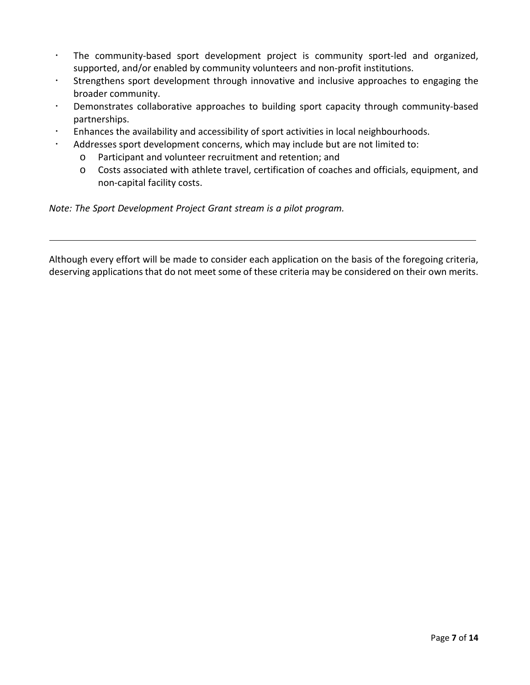- The community-based sport development project is community sport-led and organized, supported, and/or enabled by community volunteers and non-profit institutions.
- Strengthens sport development through innovative and inclusive approaches to engaging the broader community.
- Demonstrates collaborative approaches to building sport capacity through community-based partnerships.
- Enhances the availability and accessibility of sport activities in local neighbourhoods.
- Addresses sport development concerns, which may include but are not limited to:
	- o Participant and volunteer recruitment and retention; and
	- o Costs associated with athlete travel, certification of coaches and officials, equipment, and non-capital facility costs.

*Note: The Sport Development Project Grant stream is a pilot program.* 

Although every effort will be made to consider each application on the basis of the foregoing criteria, deserving applications that do not meet some of these criteria may be considered on their own merits.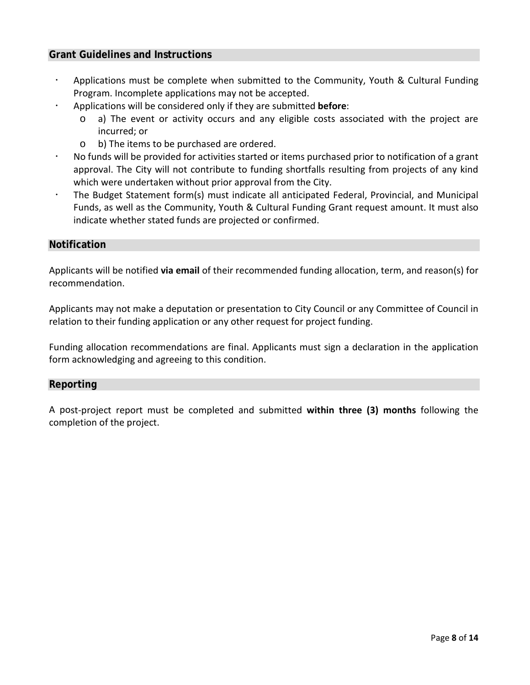#### **Grant Guidelines and Instructions**

- Applications must be complete when submitted to the Community, Youth & Cultural Funding Program. Incomplete applications may not be accepted.
- Applications will be considered only if they are submitted **before**:
	- o a) The event or activity occurs and any eligible costs associated with the project are incurred; or
	- o b) The items to be purchased are ordered.
- No funds will be provided for activities started or items purchased prior to notification of a grant approval. The City will not contribute to funding shortfalls resulting from projects of any kind which were undertaken without prior approval from the City.
- The Budget Statement form(s) must indicate all anticipated Federal, Provincial, and Municipal Funds, as well as the Community, Youth & Cultural Funding Grant request amount. It must also indicate whether stated funds are projected or confirmed.

#### **Notification**

Applicants will be notified **via email** of their recommended funding allocation, term, and reason(s) for recommendation.

Applicants may not make a deputation or presentation to City Council or any Committee of Council in relation to their funding application or any other request for project funding.

Funding allocation recommendations are final. Applicants must sign a declaration in the application form acknowledging and agreeing to this condition.

#### **Reporting**

A post-project report must be completed and submitted **within three (3) months** following the completion of the project.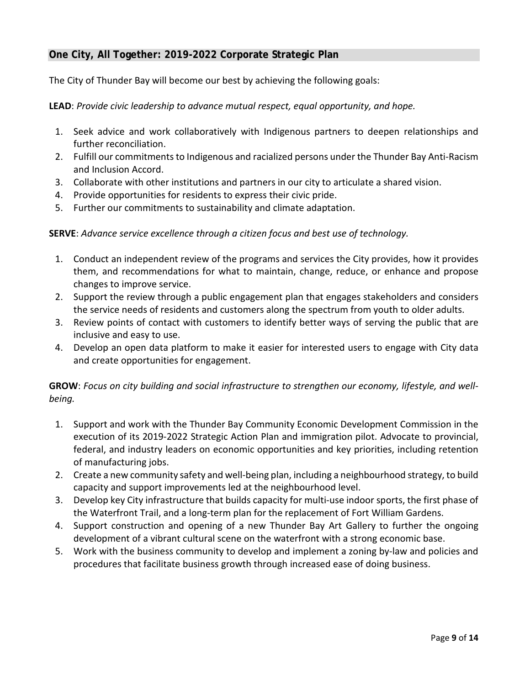#### **One City, All Together: 2019-2022 Corporate Strategic Plan**

The City of Thunder Bay will become our best by achieving the following goals:

**LEAD**: *Provide civic leadership to advance mutual respect, equal opportunity, and hope.*

- 1. Seek advice and work collaboratively with Indigenous partners to deepen relationships and further reconciliation.
- 2. Fulfill our commitments to Indigenous and racialized persons under the Thunder Bay Anti-Racism and Inclusion Accord.
- 3. Collaborate with other institutions and partners in our city to articulate a shared vision.
- 4. Provide opportunities for residents to express their civic pride.
- 5. Further our commitments to sustainability and climate adaptation.

#### **SERVE**: *Advance service excellence through a citizen focus and best use of technology.*

- 1. Conduct an independent review of the programs and services the City provides, how it provides them, and recommendations for what to maintain, change, reduce, or enhance and propose changes to improve service.
- 2. Support the review through a public engagement plan that engages stakeholders and considers the service needs of residents and customers along the spectrum from youth to older adults.
- 3. Review points of contact with customers to identify better ways of serving the public that are inclusive and easy to use.
- 4. Develop an open data platform to make it easier for interested users to engage with City data and create opportunities for engagement.

**GROW**: *Focus on city building and social infrastructure to strengthen our economy, lifestyle, and wellbeing.* 

- 1. Support and work with the Thunder Bay Community Economic Development Commission in the execution of its 2019-2022 Strategic Action Plan and immigration pilot. Advocate to provincial, federal, and industry leaders on economic opportunities and key priorities, including retention of manufacturing jobs.
- 2. Create a new community safety and well-being plan, including a neighbourhood strategy, to build capacity and support improvements led at the neighbourhood level.
- 3. Develop key City infrastructure that builds capacity for multi-use indoor sports, the first phase of the Waterfront Trail, and a long-term plan for the replacement of Fort William Gardens.
- 4. Support construction and opening of a new Thunder Bay Art Gallery to further the ongoing development of a vibrant cultural scene on the waterfront with a strong economic base.
- 5. Work with the business community to develop and implement a zoning by-law and policies and procedures that facilitate business growth through increased ease of doing business.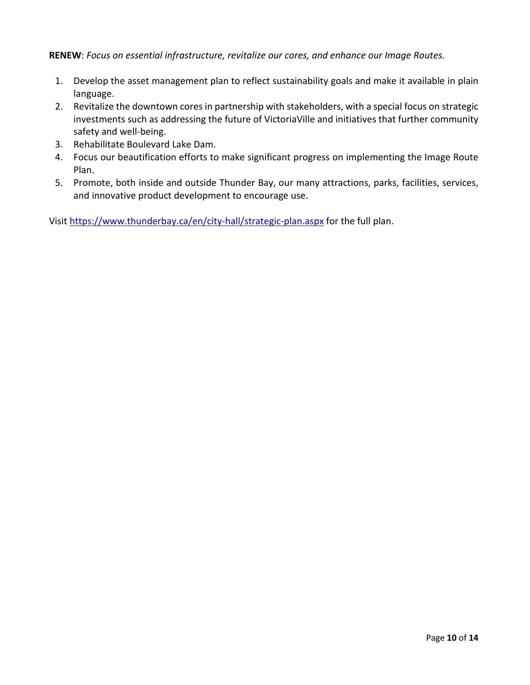**RENEW**: *Focus on essential infrastructure, revitalize our cores, and enhance our Image Routes.*

- 1. Develop the asset management plan to reflect sustainability goals and make it available in plain language.
- 2. Revitalize the downtown cores in partnership with stakeholders, with a special focus on strategic investments such as addressing the future of VictoriaVille and initiatives that further community safety and well-being.
- 3. Rehabilitate Boulevard Lake Dam.
- 4. Focus our beautification efforts to make significant progress on implementing the Image Route Plan.
- 5. Promote, both inside and outside Thunder Bay, our many attractions, parks, facilities, services, and innovative product development to encourage use.

Visit<https://www.thunderbay.ca/en/city-hall/strategic-plan.aspx> for the full plan.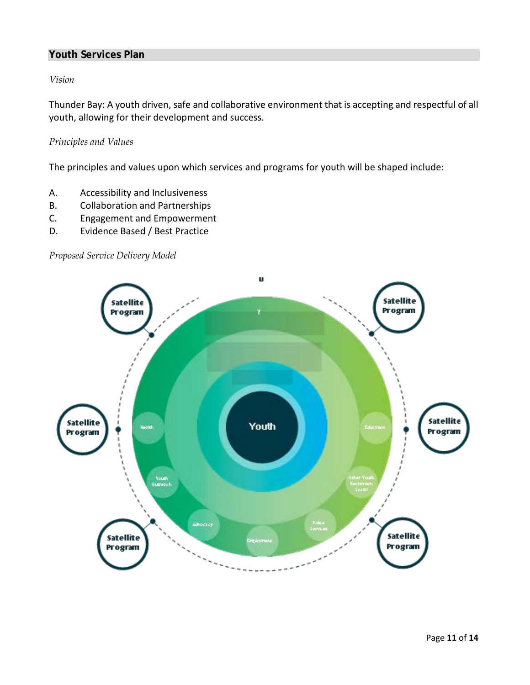#### **Youth Services Plan**

#### *Vision*

Thunder Bay: A youth driven, safe and collaborative environment that is accepting and respectful of all youth, allowing for their development and success.

#### *Principles and Values*

The principles and values upon which services and programs for youth will be shaped include:

- A. Accessibility and Inclusiveness
- B. Collaboration and Partnerships
- C. Engagement and Empowerment
- D. Evidence Based / Best Practice

*Proposed Service Delivery Model*

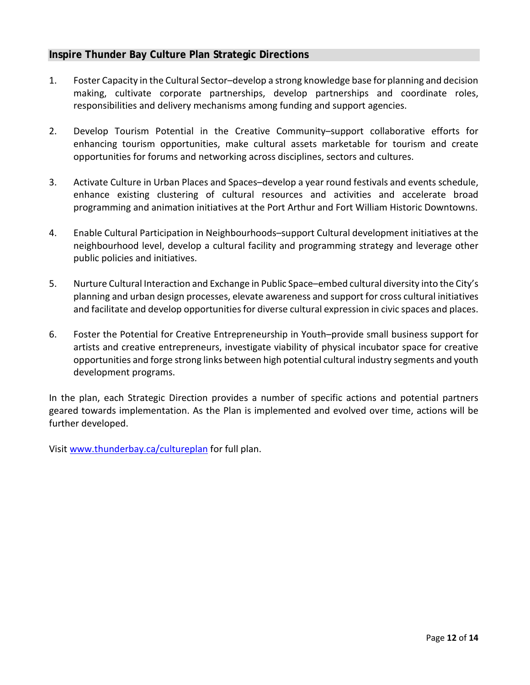#### **Inspire Thunder Bay Culture Plan Strategic Directions**

- 1. Foster Capacity in the Cultural Sector–develop a strong knowledge base for planning and decision making, cultivate corporate partnerships, develop partnerships and coordinate roles, responsibilities and delivery mechanisms among funding and support agencies.
- 2. Develop Tourism Potential in the Creative Community–support collaborative efforts for enhancing tourism opportunities, make cultural assets marketable for tourism and create opportunities for forums and networking across disciplines, sectors and cultures.
- 3. Activate Culture in Urban Places and Spaces–develop a year round festivals and events schedule, enhance existing clustering of cultural resources and activities and accelerate broad programming and animation initiatives at the Port Arthur and Fort William Historic Downtowns.
- 4. Enable Cultural Participation in Neighbourhoods–support Cultural development initiatives at the neighbourhood level, develop a cultural facility and programming strategy and leverage other public policies and initiatives.
- 5. Nurture Cultural Interaction and Exchange in Public Space–embed cultural diversity into the City's planning and urban design processes, elevate awareness and support for cross cultural initiatives and facilitate and develop opportunities for diverse cultural expression in civic spaces and places.
- 6. Foster the Potential for Creative Entrepreneurship in Youth–provide small business support for artists and creative entrepreneurs, investigate viability of physical incubator space for creative opportunities and forge strong links between high potential cultural industry segments and youth development programs.

In the plan, each Strategic Direction provides a number of specific actions and potential partners geared towards implementation. As the Plan is implemented and evolved over time, actions will be further developed.

Visit [www.thunderbay.ca/cultureplan](http://www.thunderbay.ca/cultureplan) for full plan.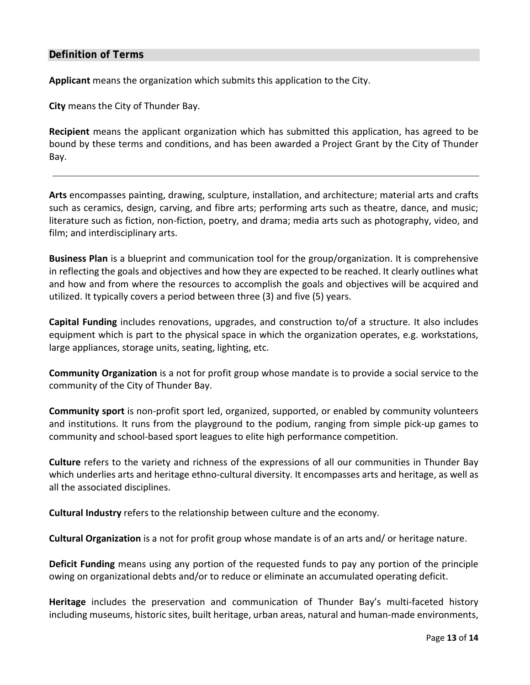#### **Definition of Terms**

**Applicant** means the organization which submits this application to the City.

**City** means the City of Thunder Bay.

**Recipient** means the applicant organization which has submitted this application, has agreed to be bound by these terms and conditions, and has been awarded a Project Grant by the City of Thunder Bay.

**Arts** encompasses painting, drawing, sculpture, installation, and architecture; material arts and crafts such as ceramics, design, carving, and fibre arts; performing arts such as theatre, dance, and music; literature such as fiction, non-fiction, poetry, and drama; media arts such as photography, video, and film; and interdisciplinary arts.

**Business Plan** is a blueprint and communication tool for the group/organization. It is comprehensive in reflecting the goals and objectives and how they are expected to be reached. It clearly outlines what and how and from where the resources to accomplish the goals and objectives will be acquired and utilized. It typically covers a period between three (3) and five (5) years.

**Capital Funding** includes renovations, upgrades, and construction to/of a structure. It also includes equipment which is part to the physical space in which the organization operates, e.g. workstations, large appliances, storage units, seating, lighting, etc.

**Community Organization** is a not for profit group whose mandate is to provide a social service to the community of the City of Thunder Bay.

**Community sport** is non-profit sport led, organized, supported, or enabled by community volunteers and institutions. It runs from the playground to the podium, ranging from simple pick-up games to community and school-based sport leagues to elite high performance competition.

**Culture** refers to the variety and richness of the expressions of all our communities in Thunder Bay which underlies arts and heritage ethno-cultural diversity. It encompasses arts and heritage, as well as all the associated disciplines.

**Cultural Industry** refers to the relationship between culture and the economy.

**Cultural Organization** is a not for profit group whose mandate is of an arts and/ or heritage nature.

**Deficit Funding** means using any portion of the requested funds to pay any portion of the principle owing on organizational debts and/or to reduce or eliminate an accumulated operating deficit.

**Heritage** includes the preservation and communication of Thunder Bay's multi-faceted history including museums, historic sites, built heritage, urban areas, natural and human-made environments,